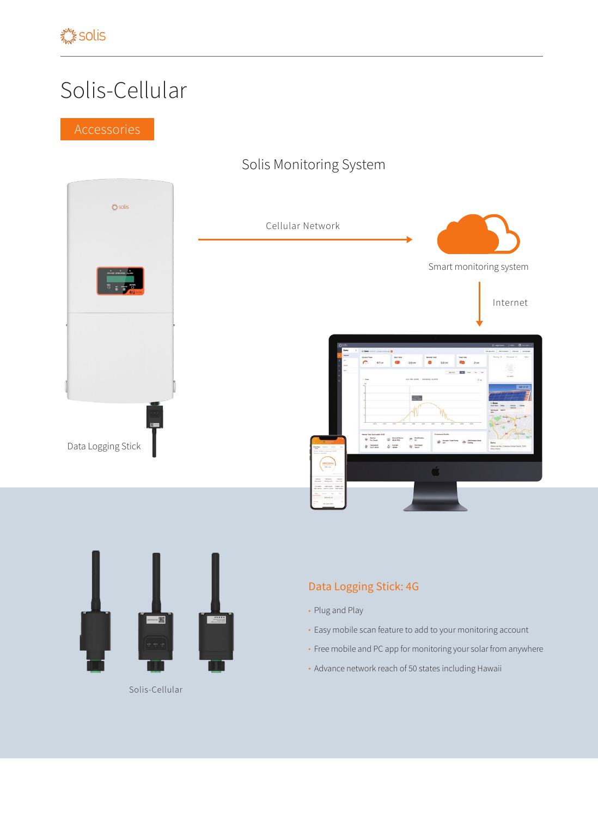## Solis-Cellular

## Solis Monitoring System





Solis-Cellular

## Data Logging Stick: 4G

- Plug and Play
- Easy mobile scan feature to add to your monitoring account
- Free mobile and PC app for monitoring your solar from anywhere
- Advance network reach of 50 states including Hawaii